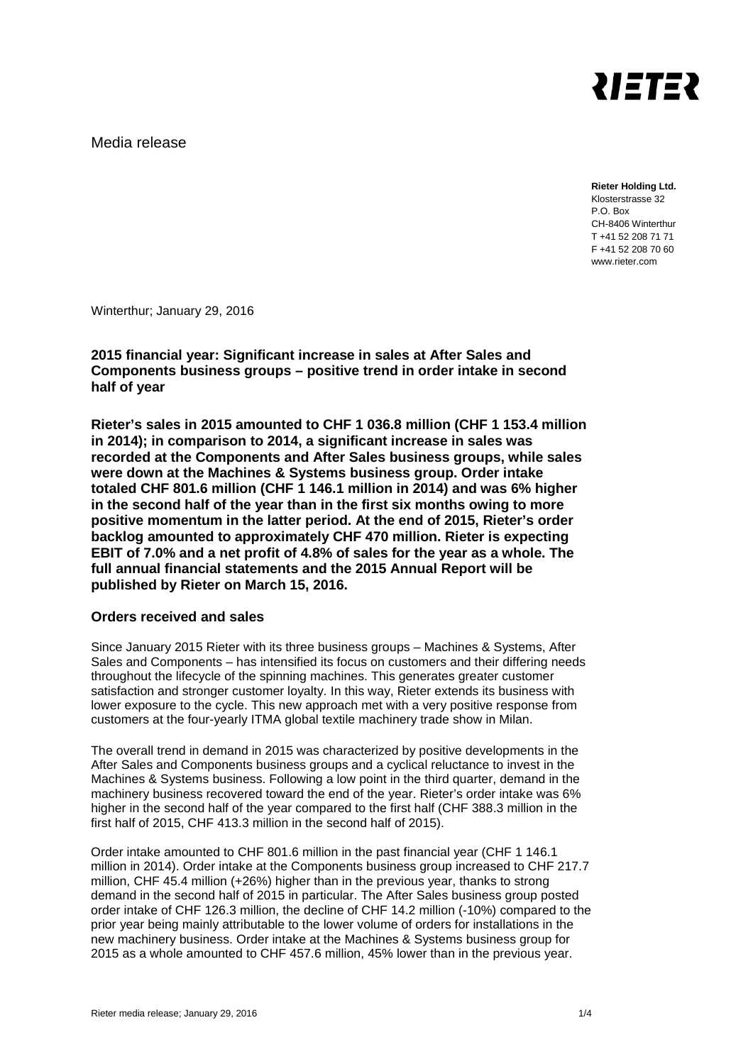

Media release

**Rieter Holding Ltd.**  Klosterstrasse 32 P.O. Box CH-8406 Winterthur T +41 52 208 71 71 F +41 52 208 70 60 www.rieter.com

Winterthur; January 29, 2016

**2015 financial year: Significant increase in sales at After Sales and Components business groups – positive trend in order intake in second half of year**

**Rieter's sales in 2015 amounted to CHF 1 036.8 million (CHF 1 153.4 million in 2014); in comparison to 2014, a significant increase in sales was recorded at the Components and After Sales business groups, while sales were down at the Machines & Systems business group. Order intake totaled CHF 801.6 million (CHF 1 146.1 million in 2014) and was 6% higher in the second half of the year than in the first six months owing to more positive momentum in the latter period. At the end of 2015, Rieter's order backlog amounted to approximately CHF 470 million. Rieter is expecting EBIT of 7.0% and a net profit of 4.8% of sales for the year as a whole. The full annual financial statements and the 2015 Annual Report will be published by Rieter on March 15, 2016.** 

# **Orders received and sales**

Since January 2015 Rieter with its three business groups – Machines & Systems, After Sales and Components – has intensified its focus on customers and their differing needs throughout the lifecycle of the spinning machines. This generates greater customer satisfaction and stronger customer loyalty. In this way, Rieter extends its business with lower exposure to the cycle. This new approach met with a very positive response from customers at the four-yearly ITMA global textile machinery trade show in Milan.

The overall trend in demand in 2015 was characterized by positive developments in the After Sales and Components business groups and a cyclical reluctance to invest in the Machines & Systems business. Following a low point in the third quarter, demand in the machinery business recovered toward the end of the year. Rieter's order intake was 6% higher in the second half of the year compared to the first half (CHF 388.3 million in the first half of 2015, CHF 413.3 million in the second half of 2015).

Order intake amounted to CHF 801.6 million in the past financial year (CHF 1 146.1 million in 2014). Order intake at the Components business group increased to CHF 217.7 million, CHF 45.4 million (+26%) higher than in the previous year, thanks to strong demand in the second half of 2015 in particular. The After Sales business group posted order intake of CHF 126.3 million, the decline of CHF 14.2 million (-10%) compared to the prior year being mainly attributable to the lower volume of orders for installations in the new machinery business. Order intake at the Machines & Systems business group for 2015 as a whole amounted to CHF 457.6 million, 45% lower than in the previous year.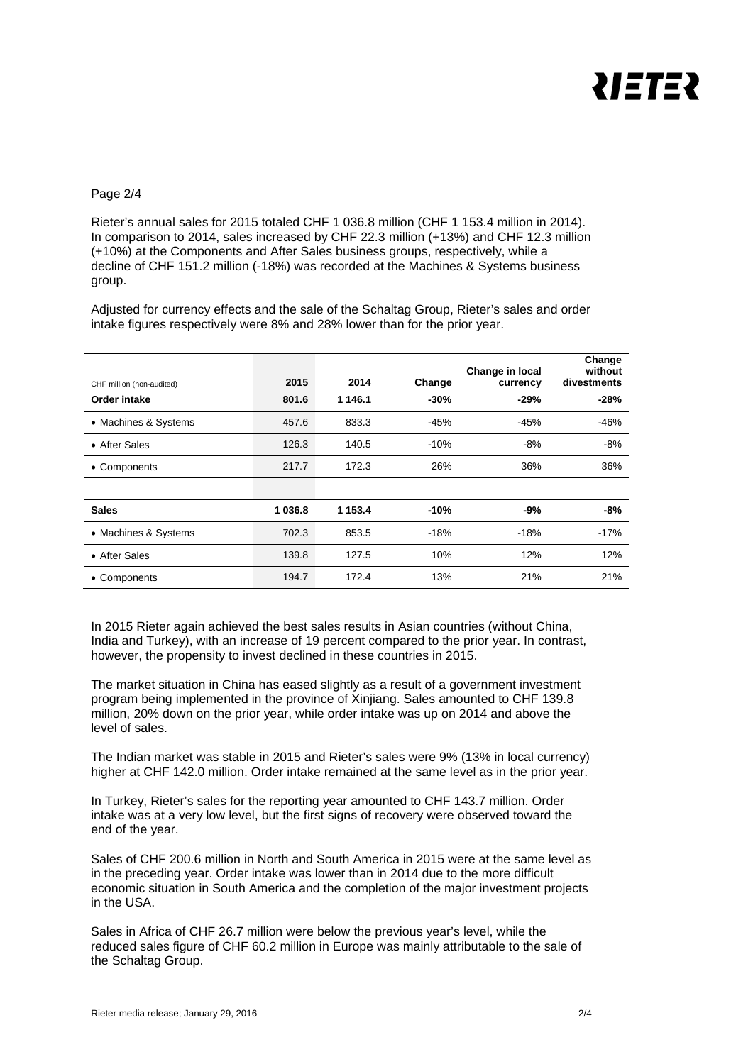

## Page 2/4

Rieter's annual sales for 2015 totaled CHF 1 036.8 million (CHF 1 153.4 million in 2014). In comparison to 2014, sales increased by CHF 22.3 million (+13%) and CHF 12.3 million (+10%) at the Components and After Sales business groups, respectively, while a decline of CHF 151.2 million (-18%) was recorded at the Machines & Systems business group.

Adjusted for currency effects and the sale of the Schaltag Group, Rieter's sales and order intake figures respectively were 8% and 28% lower than for the prior year.

| CHF million (non-audited) | 2015      | 2014    | Change | Change in local<br>currency | Change<br>without<br>divestments |
|---------------------------|-----------|---------|--------|-----------------------------|----------------------------------|
| Order intake              | 801.6     | 1 146.1 | $-30%$ | $-29%$                      | $-28%$                           |
| • Machines & Systems      | 457.6     | 833.3   | $-45%$ | -45%                        | $-46%$                           |
| • After Sales             | 126.3     | 140.5   | $-10%$ | $-8%$                       | $-8%$                            |
| • Components              | 217.7     | 172.3   | 26%    | 36%                         | 36%                              |
|                           |           |         |        |                             |                                  |
| <b>Sales</b>              | 1 0 3 6.8 | 1 153.4 | $-10%$ | -9%                         | -8%                              |
| • Machines & Systems      | 702.3     | 853.5   | $-18%$ | $-18%$                      | $-17%$                           |
| • After Sales             | 139.8     | 127.5   | 10%    | 12%                         | 12%                              |
| • Components              | 194.7     | 172.4   | 13%    | 21%                         | 21%                              |

In 2015 Rieter again achieved the best sales results in Asian countries (without China, India and Turkey), with an increase of 19 percent compared to the prior year. In contrast, however, the propensity to invest declined in these countries in 2015.

The market situation in China has eased slightly as a result of a government investment program being implemented in the province of Xinjiang. Sales amounted to CHF 139.8 million, 20% down on the prior year, while order intake was up on 2014 and above the level of sales.

The Indian market was stable in 2015 and Rieter's sales were 9% (13% in local currency) higher at CHF 142.0 million. Order intake remained at the same level as in the prior year.

In Turkey, Rieter's sales for the reporting year amounted to CHF 143.7 million. Order intake was at a very low level, but the first signs of recovery were observed toward the end of the year.

Sales of CHF 200.6 million in North and South America in 2015 were at the same level as in the preceding year. Order intake was lower than in 2014 due to the more difficult economic situation in South America and the completion of the major investment projects in the USA.

Sales in Africa of CHF 26.7 million were below the previous year's level, while the reduced sales figure of CHF 60.2 million in Europe was mainly attributable to the sale of the Schaltag Group.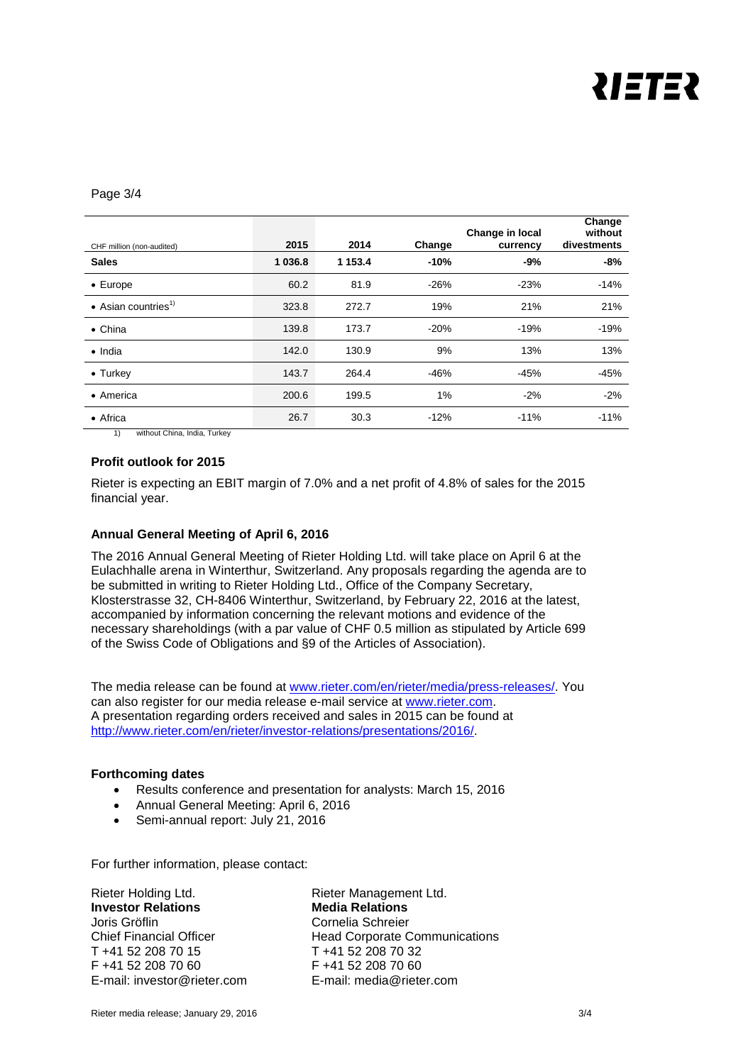

#### Page 3/4

| CHF million (non-audited)               | 2015      | 2014        | Change | Change in local<br>currency | Change<br>without<br>divestments |
|-----------------------------------------|-----------|-------------|--------|-----------------------------|----------------------------------|
| <b>Sales</b>                            | 1 0 3 6.8 | 1 1 5 3 . 4 | $-10%$ | $-9%$                       | -8%                              |
| $\bullet$ Europe                        | 60.2      | 81.9        | $-26%$ | $-23%$                      | $-14%$                           |
| $\bullet$ Asian countries <sup>1)</sup> | 323.8     | 272.7       | 19%    | 21%                         | 21%                              |
| $\bullet$ China                         | 139.8     | 173.7       | $-20%$ | $-19%$                      | $-19%$                           |
| $\bullet$ India                         | 142.0     | 130.9       | 9%     | 13%                         | 13%                              |
| $\bullet$ Turkey                        | 143.7     | 264.4       | -46%   | $-45%$                      | $-45%$                           |
| • America                               | 200.6     | 199.5       | 1%     | $-2%$                       | $-2%$                            |
| • Africa                                | 26.7      | 30.3        | $-12%$ | $-11%$                      | $-11%$                           |

1) without China, India, Turkey

## **Profit outlook for 2015**

Rieter is expecting an EBIT margin of 7.0% and a net profit of 4.8% of sales for the 2015 financial year.

#### **Annual General Meeting of April 6, 2016**

The 2016 Annual General Meeting of Rieter Holding Ltd. will take place on April 6 at the Eulachhalle arena in Winterthur, Switzerland. Any proposals regarding the agenda are to be submitted in writing to Rieter Holding Ltd., Office of the Company Secretary, Klosterstrasse 32, CH-8406 Winterthur, Switzerland, by February 22, 2016 at the latest, accompanied by information concerning the relevant motions and evidence of the necessary shareholdings (with a par value of CHF 0.5 million as stipulated by Article 699 of the Swiss Code of Obligations and §9 of the Articles of Association).

The media release can be found at [www.rieter.com/en/rieter/media/press-releases/.](http://www.rieter.com/en/rieter/media/press-releases/) You can also register for our media release e-mail service at [www.rieter.com.](http://www.rieter.com/) A presentation regarding orders received and sales in 2015 can be found at [http://www.rieter.com/en/rieter/investor-relations/presentations/2016/.](http://www.rieter.com/en/rieter/investor-relations/presentations/2016/)

#### **Forthcoming dates**

- Results conference and presentation for analysts: March 15, 2016
- Annual General Meeting: April 6, 2016
- Semi-annual report: July 21, 2016

For further information, please contact:

Rieter Holding Ltd. **Rieter Management Ltd. Investor Relations Media Relations** Joris Gröflin Chief Financial Officer T +41 52 208 70 15 F +41 52 208 70 60 E-mail: investor@rieter.com

Cornelia Schreier Head Corporate Communications T +41 52 208 70 32 F +41 52 208 70 60 E-mail: media@rieter.com